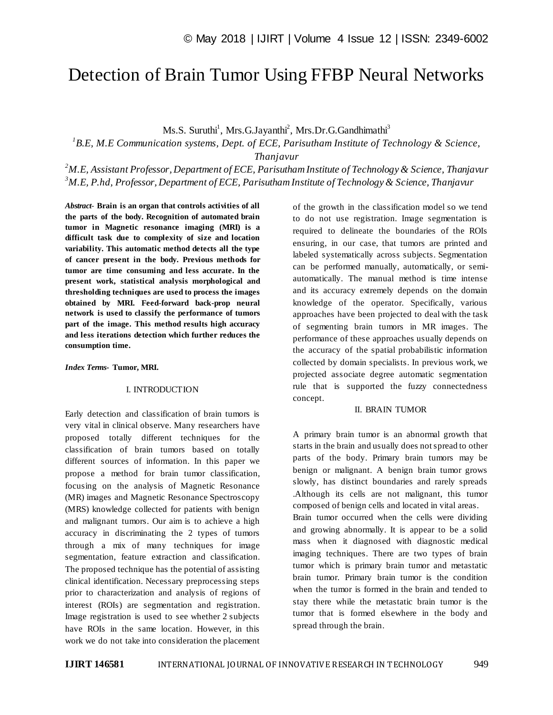# Detection of Brain Tumor Using FFBP Neural Networks

Ms.S. Suruthi<sup>1</sup>, Mrs.G.Jayanthi<sup>2</sup>, Mrs.Dr.G.Gandhimathi<sup>3</sup>

*1 B.E, M.E Communication systems, Dept. of ECE, Parisutham Institute of Technology & Science,*

*Thanjavur*

*<sup>2</sup>M.E, Assistant Professor, Department of ECE, Parisutham Institute of Technology & Science, Thanjavur <sup>3</sup>M.E, P.hd, Professor, Department of ECE, Parisutham Institute of Technology & Science, Thanjavur*

*Abstract*- **Brain is an organ that controls activities of all the parts of the body. Recognition of automated brain tumor in Magnetic resonance imaging (MRI) is a difficult task due to complexity of size and location variability. This automatic method detects all the type of cancer present in the body. Previous methods for tumor are time consuming and less accurate. In the present work, statistical analysis morphological and thresholding techniques are used to process the images obtained by MRI. Feed-forward back-prop neural network is used to classify the performance of tumors part of the image. This method results high accuracy and less iterations detection which further reduces the consumption time.**

#### *Index Terms***- Tumor, MRI.**

# I. INTRODUCTION

Early detection and classification of brain tumors is very vital in clinical observe. Many researchers have proposed totally different techniques for the classification of brain tumors based on totally different sources of information. In this paper we propose a method for brain tumor classification, focusing on the analysis of Magnetic Resonance (MR) images and Magnetic Resonance Spectroscopy (MRS) knowledge collected for patients with benign and malignant tumors. Our aim is to achieve a high accuracy in discriminating the 2 types of tumors through a mix of many techniques for image segmentation, feature extraction and classification. The proposed technique has the potential of assisting clinical identification. Necessary preprocessing steps prior to characterization and analysis of regions of interest (ROIs) are segmentation and registration. Image registration is used to see whether 2 subjects have ROIs in the same location. However, in this work we do not take into consideration the placement of the growth in the classification model so we tend to do not use registration. Image segmentation is required to delineate the boundaries of the ROIs ensuring, in our case, that tumors are printed and labeled systematically across subjects. Segmentation can be performed manually, automatically, or semiautomatically. The manual method is time intense and its accuracy extremely depends on the domain knowledge of the operator. Specifically, various approaches have been projected to deal with the task of segmenting brain tumors in MR images. The performance of these approaches usually depends on the accuracy of the spatial probabilistic information collected by domain specialists. In previous work, we projected associate degree automatic segmentation rule that is supported the fuzzy connectedness concept.

#### II. BRAIN TUMOR

A primary brain tumor is an abnormal growth that starts in the brain and usually does not spread to other parts of the body. Primary brain tumors may be benign or malignant. A benign brain tumor grows slowly, has distinct boundaries and rarely spreads .Although its cells are not malignant, this tumor composed of benign cells and located in vital areas. Brain tumor occurred when the cells were dividing and growing abnormally. It is appear to be a solid mass when it diagnosed with diagnostic medical imaging techniques. There are two types of brain tumor which is primary brain tumor and metastatic brain tumor. Primary brain tumor is the condition when the tumor is formed in the brain and tended to stay there while the metastatic brain tumor is the tumor that is formed elsewhere in the body and spread through the brain.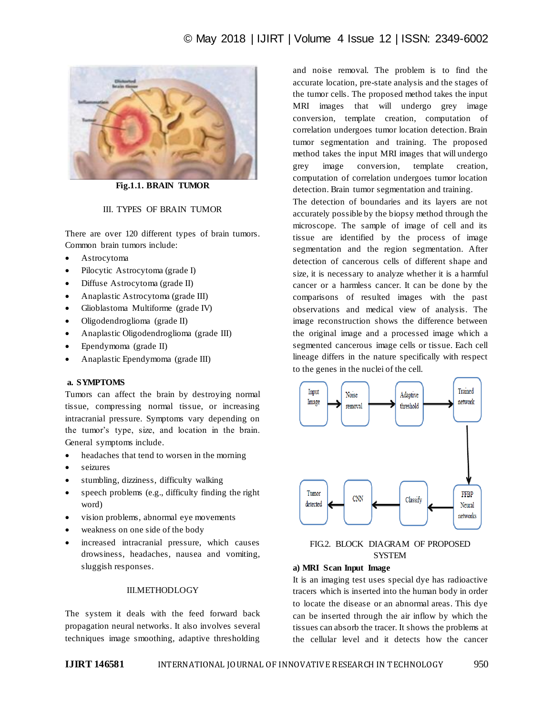

**Fig.1.1. BRAIN TUMOR**

# III. TYPES OF BRAIN TUMOR

There are over 120 different types of brain tumors. Common brain tumors include:

- Astrocytoma
- Pilocytic Astrocytoma (grade I)
- Diffuse Astrocytoma (grade II)
- Anaplastic Astrocytoma (grade III)
- Glioblastoma Multiforme (grade IV)
- Oligodendroglioma (grade II)
- Anaplastic Oligodendroglioma (grade III)
- Ependymoma (grade II)
- Anaplastic Ependymoma (grade III)

#### **a. SYMPTOMS**

Tumors can affect the brain by destroying normal tissue, compressing normal tissue, or increasing intracranial pressure. Symptoms vary depending on the tumor's type, size, and location in the brain. General symptoms include.

- headaches that tend to worsen in the morning
- seizures
- stumbling, dizziness, difficulty walking
- speech problems (e.g., difficulty finding the right word)
- vision problems, abnormal eye movements
- weakness on one side of the body
- increased intracranial pressure, which causes drowsiness, headaches, nausea and vomiting, sluggish responses.

#### III.METHODLOGY

The system it deals with the feed forward back propagation neural networks. It also involves several techniques image smoothing, adaptive thresholding

and noise removal. The problem is to find the accurate location, pre-state analysis and the stages of the tumor cells. The proposed method takes the input MRI images that will undergo grey image conversion, template creation, computation of correlation undergoes tumor location detection. Brain tumor segmentation and training. The proposed method takes the input MRI images that will undergo grey image conversion, template creation, computation of correlation undergoes tumor location detection. Brain tumor segmentation and training.

The detection of boundaries and its layers are not accurately possible by the biopsy method through the microscope. The sample of image of cell and its tissue are identified by the process of image segmentation and the region segmentation. After detection of cancerous cells of different shape and size, it is necessary to analyze whether it is a harmful cancer or a harmless cancer. It can be done by the comparisons of resulted images with the past observations and medical view of analysis. The image reconstruction shows the difference between the original image and a processed image which a segmented cancerous image cells or tissue. Each cell lineage differs in the nature specifically with respect to the genes in the nuclei of the cell.



# FIG.2. BLOCK DIAGRAM OF PROPOSED **SYSTEM**

#### **a) MRI Scan Input Image**

It is an imaging test uses special dye has radioactive tracers which is inserted into the human body in order to locate the disease or an abnormal areas. This dye can be inserted through the air inflow by which the tissues can absorb the tracer. It shows the problems at the cellular level and it detects how the cancer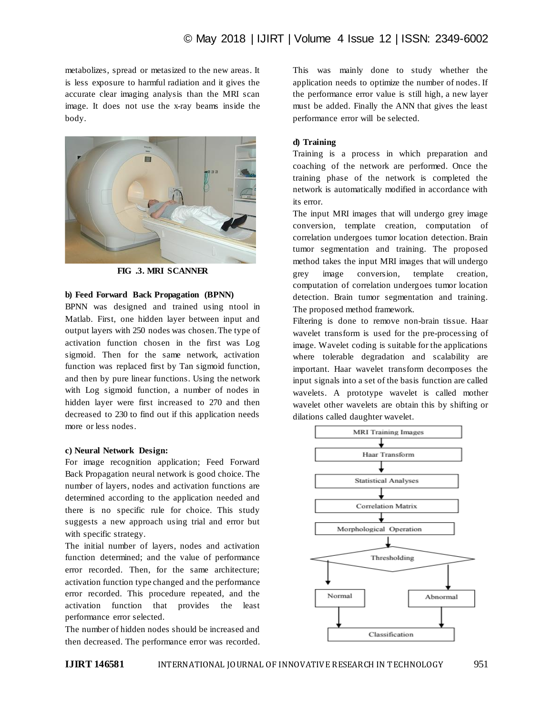metabolizes, spread or metasized to the new areas. It is less exposure to harmful radiation and it gives the accurate clear imaging analysis than the MRI scan image. It does not use the x-ray beams inside the body.



**FIG .3. MRI SCANNER**

## **b) Feed Forward Back Propagation (BPNN)**

BPNN was designed and trained using ntool in Matlab. First, one hidden layer between input and output layers with 250 nodes was chosen. The type of activation function chosen in the first was Log sigmoid. Then for the same network, activation function was replaced first by Tan sigmoid function, and then by pure linear functions. Using the network with Log sigmoid function, a number of nodes in hidden layer were first increased to 270 and then decreased to 230 to find out if this application needs more or less nodes.

#### **c) Neural Network Design:**

For image recognition application; Feed Forward Back Propagation neural network is good choice. The number of layers, nodes and activation functions are determined according to the application needed and there is no specific rule for choice. This study suggests a new approach using trial and error but with specific strategy.

The initial number of layers, nodes and activation function determined; and the value of performance error recorded. Then, for the same architecture; activation function type changed and the performance error recorded. This procedure repeated, and the activation function that provides the least performance error selected.

The number of hidden nodes should be increased and then decreased. The performance error was recorded. This was mainly done to study whether the application needs to optimize the number of nodes. If the performance error value is still high, a new layer must be added. Finally the ANN that gives the least performance error will be selected.

#### **d) Training**

Training is a process in which preparation and coaching of the network are performed. Once the training phase of the network is completed the network is automatically modified in accordance with its error.

The input MRI images that will undergo grey image conversion, template creation, computation of correlation undergoes tumor location detection. Brain tumor segmentation and training. The proposed method takes the input MRI images that will undergo grey image conversion, template creation, computation of correlation undergoes tumor location detection. Brain tumor segmentation and training. The proposed method framework.

Filtering is done to remove non-brain tissue. Haar wavelet transform is used for the pre-processing of image. Wavelet coding is suitable for the applications where tolerable degradation and scalability are important. Haar wavelet transform decomposes the input signals into a set of the basis function are called wavelets. A prototype wavelet is called mother wavelet other wavelets are obtain this by shifting or dilations called daughter wavelet.

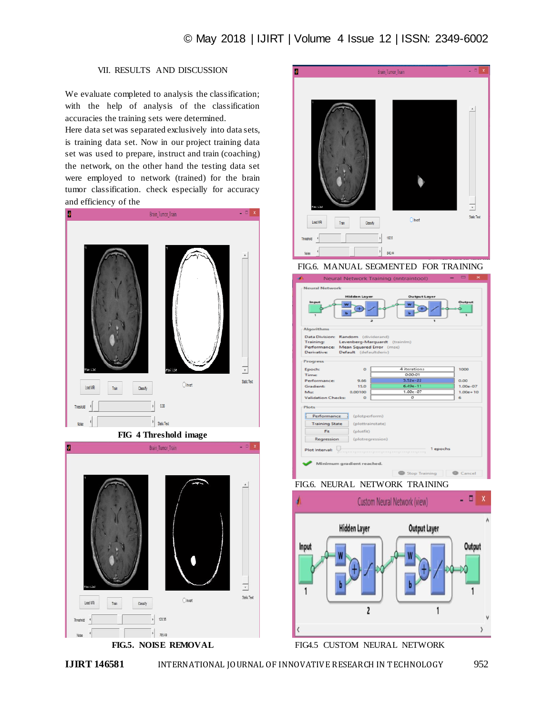# VII. RESULTS AND DISCUSSION

We evaluate completed to analysis the classification; with the help of analysis of the classification accuracies the training sets were determined.

Here data set was separated exclusively into data sets, is training data set. Now in our project training data set was used to prepare, instruct and train (coaching) the network, on the other hand the testing data set were employed to network (trained) for the brain tumor classification. check especially for accuracy and efficiency of the



**FIG 4 Threshold image**



**FIG.5. NOISE REMOVAL**



FIG.6. MANUAL SEGMENTED FOR TRAINING



FIG.6. NEURAL NETWORK TRAINING